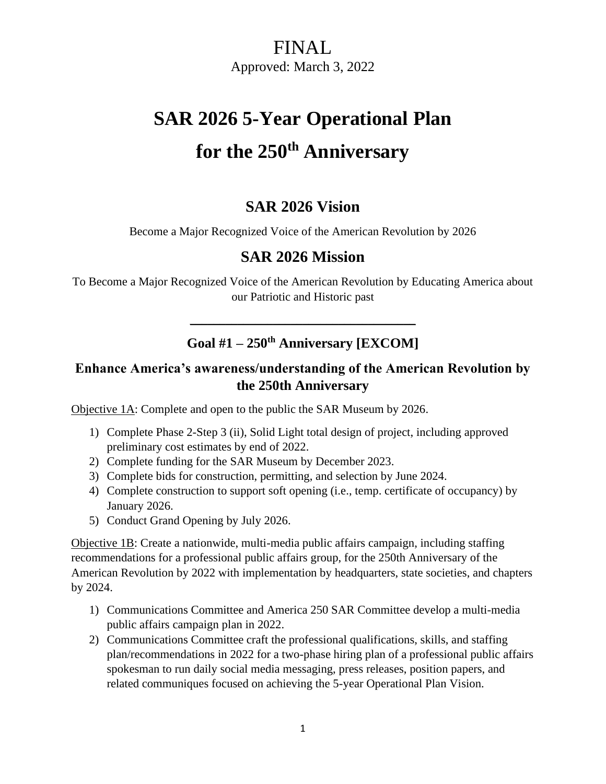## FINAL Approved: March 3, 2022

# **SAR 2026 5-Year Operational Plan for the 250th Anniversary**

#### **SAR 2026 Vision**

Become a Major Recognized Voice of the American Revolution by 2026

#### **SAR 2026 Mission**

To Become a Major Recognized Voice of the American Revolution by Educating America about our Patriotic and Historic past

#### **Goal #1 – 250th Anniversary [EXCOM]**

\_\_\_\_\_\_\_\_\_\_\_\_\_\_\_\_\_\_\_\_\_\_\_\_\_\_\_\_\_\_\_\_\_\_\_\_\_\_

#### **Enhance America's awareness/understanding of the American Revolution by the 250th Anniversary**

Objective 1A: Complete and open to the public the SAR Museum by 2026.

- 1) Complete Phase 2-Step 3 (ii), Solid Light total design of project, including approved preliminary cost estimates by end of 2022.
- 2) Complete funding for the SAR Museum by December 2023.
- 3) Complete bids for construction, permitting, and selection by June 2024.
- 4) Complete construction to support soft opening (i.e., temp. certificate of occupancy) by January 2026.
- 5) Conduct Grand Opening by July 2026.

Objective 1B: Create a nationwide, multi-media public affairs campaign, including staffing recommendations for a professional public affairs group, for the 250th Anniversary of the American Revolution by 2022 with implementation by headquarters, state societies, and chapters by 2024.

- 1) Communications Committee and America 250 SAR Committee develop a multi-media public affairs campaign plan in 2022.
- 2) Communications Committee craft the professional qualifications, skills, and staffing plan/recommendations in 2022 for a two-phase hiring plan of a professional public affairs spokesman to run daily social media messaging, press releases, position papers, and related communiques focused on achieving the 5-year Operational Plan Vision.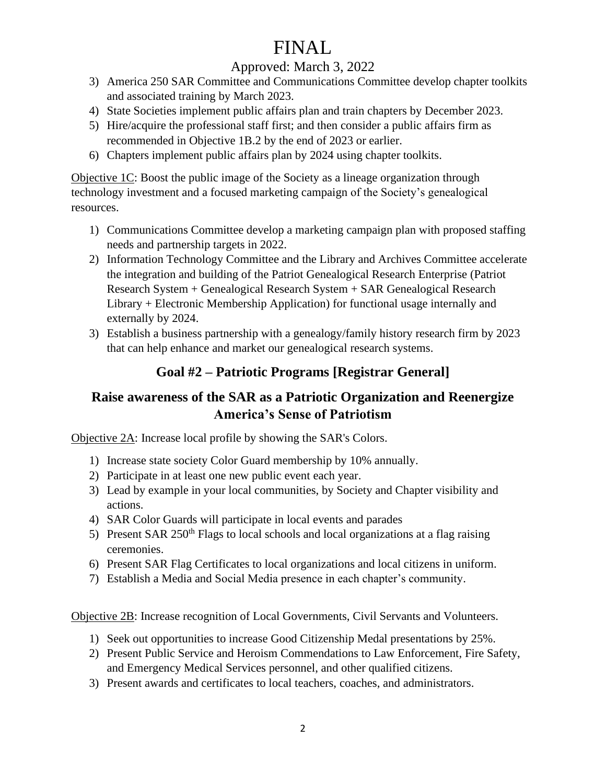# FINAL

#### Approved: March 3, 2022

- 3) America 250 SAR Committee and Communications Committee develop chapter toolkits and associated training by March 2023.
- 4) State Societies implement public affairs plan and train chapters by December 2023.
- 5) Hire/acquire the professional staff first; and then consider a public affairs firm as recommended in Objective 1B.2 by the end of 2023 or earlier.
- 6) Chapters implement public affairs plan by 2024 using chapter toolkits.

Objective 1C: Boost the public image of the Society as a lineage organization through technology investment and a focused marketing campaign of the Society's genealogical resources.

- 1) Communications Committee develop a marketing campaign plan with proposed staffing needs and partnership targets in 2022.
- 2) Information Technology Committee and the Library and Archives Committee accelerate the integration and building of the Patriot Genealogical Research Enterprise (Patriot Research System + Genealogical Research System + SAR Genealogical Research Library + Electronic Membership Application) for functional usage internally and externally by 2024.
- 3) Establish a business partnership with a genealogy/family history research firm by 2023 that can help enhance and market our genealogical research systems.

#### **Goal #2 – Patriotic Programs [Registrar General]**

#### **Raise awareness of the SAR as a Patriotic Organization and Reenergize America's Sense of Patriotism**

Objective 2A: Increase local profile by showing the SAR's Colors.

- 1) Increase state society Color Guard membership by 10% annually.
- 2) Participate in at least one new public event each year.
- 3) Lead by example in your local communities, by Society and Chapter visibility and actions.
- 4) SAR Color Guards will participate in local events and parades
- 5) Present SAR  $250<sup>th</sup>$  Flags to local schools and local organizations at a flag raising ceremonies.
- 6) Present SAR Flag Certificates to local organizations and local citizens in uniform.
- 7) Establish a Media and Social Media presence in each chapter's community.

Objective 2B: Increase recognition of Local Governments, Civil Servants and Volunteers.

- 1) Seek out opportunities to increase Good Citizenship Medal presentations by 25%.
- 2) Present Public Service and Heroism Commendations to Law Enforcement, Fire Safety, and Emergency Medical Services personnel, and other qualified citizens.
- 3) Present awards and certificates to local teachers, coaches, and administrators.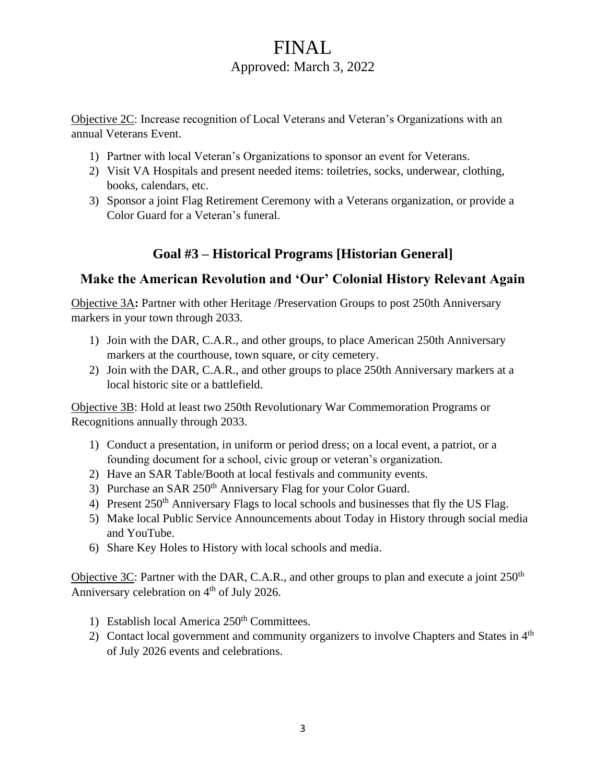### FINAL Approved: March 3, 2022

Objective 2C: Increase recognition of Local Veterans and Veteran's Organizations with an annual Veterans Event.

- 1) Partner with local Veteran's Organizations to sponsor an event for Veterans.
- 2) Visit VA Hospitals and present needed items: toiletries, socks, underwear, clothing, books, calendars, etc.
- 3) Sponsor a joint Flag Retirement Ceremony with a Veterans organization, or provide a Color Guard for a Veteran's funeral.

#### **Goal #3 – Historical Programs [Historian General]**

#### **Make the American Revolution and 'Our' Colonial History Relevant Again**

Objective 3A**:** Partner with other Heritage /Preservation Groups to post 250th Anniversary markers in your town through 2033.

- 1) Join with the DAR, C.A.R., and other groups, to place American 250th Anniversary markers at the courthouse, town square, or city cemetery.
- 2) Join with the DAR, C.A.R., and other groups to place 250th Anniversary markers at a local historic site or a battlefield.

Objective 3B: Hold at least two 250th Revolutionary War Commemoration Programs or Recognitions annually through 2033.

- 1) Conduct a presentation, in uniform or period dress; on a local event, a patriot, or a founding document for a school, civic group or veteran's organization.
- 2) Have an SAR Table/Booth at local festivals and community events.
- 3) Purchase an SAR 250<sup>th</sup> Anniversary Flag for your Color Guard.
- 4) Present  $250<sup>th</sup>$  Anniversary Flags to local schools and businesses that fly the US Flag.
- 5) Make local Public Service Announcements about Today in History through social media and YouTube.
- 6) Share Key Holes to History with local schools and media.

Objective 3C: Partner with the DAR, C.A.R., and other groups to plan and execute a joint  $250<sup>th</sup>$ Anniversary celebration on  $4<sup>th</sup>$  of July 2026.

- 1) Establish local America 250<sup>th</sup> Committees.
- 2) Contact local government and community organizers to involve Chapters and States in  $4<sup>th</sup>$ of July 2026 events and celebrations.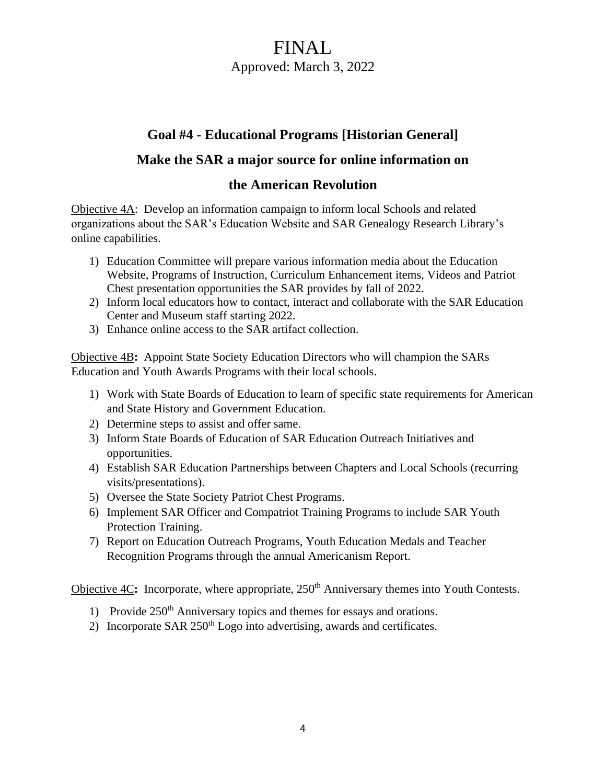### FINAL Approved: March 3, 2022

#### **Goal #4 - Educational Programs [Historian General]**

#### **Make the SAR a major source for online information on**

#### **the American Revolution**

Objective 4A: Develop an information campaign to inform local Schools and related organizations about the SAR's Education Website and SAR Genealogy Research Library's online capabilities.

- 1) Education Committee will prepare various information media about the Education Website, Programs of Instruction, Curriculum Enhancement items, Videos and Patriot Chest presentation opportunities the SAR provides by fall of 2022.
- 2) Inform local educators how to contact, interact and collaborate with the SAR Education Center and Museum staff starting 2022.
- 3) Enhance online access to the SAR artifact collection.

Objective 4B**:** Appoint State Society Education Directors who will champion the SARs Education and Youth Awards Programs with their local schools.

- 1) Work with State Boards of Education to learn of specific state requirements for American and State History and Government Education.
- 2) Determine steps to assist and offer same.
- 3) Inform State Boards of Education of SAR Education Outreach Initiatives and opportunities.
- 4) Establish SAR Education Partnerships between Chapters and Local Schools (recurring visits/presentations).
- 5) Oversee the State Society Patriot Chest Programs.
- 6) Implement SAR Officer and Compatriot Training Programs to include SAR Youth Protection Training.
- 7) Report on Education Outreach Programs, Youth Education Medals and Teacher Recognition Programs through the annual Americanism Report.

Objective 4C: Incorporate, where appropriate, 250<sup>th</sup> Anniversary themes into Youth Contests.

- 1) Provide  $250<sup>th</sup>$  Anniversary topics and themes for essays and orations.
- 2) Incorporate SAR  $250<sup>th</sup>$  Logo into advertising, awards and certificates.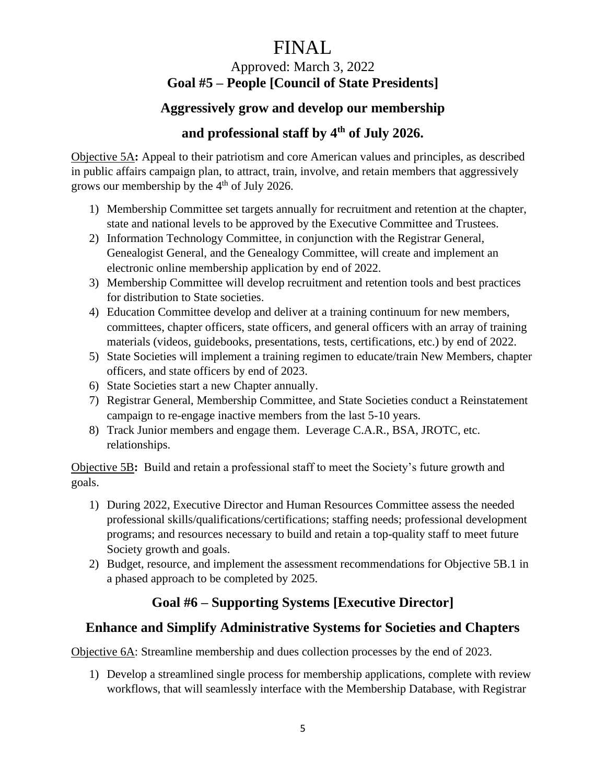# FINAL

#### Approved: March 3, 2022 **Goal #5 – People [Council of State Presidents]**

#### **Aggressively grow and develop our membership**

#### **and professional staff by 4 th of July 2026.**

Objective 5A**:** Appeal to their patriotism and core American values and principles, as described in public affairs campaign plan, to attract, train, involve, and retain members that aggressively grows our membership by the  $4<sup>th</sup>$  of July 2026.

- 1) Membership Committee set targets annually for recruitment and retention at the chapter, state and national levels to be approved by the Executive Committee and Trustees.
- 2) Information Technology Committee, in conjunction with the Registrar General, Genealogist General, and the Genealogy Committee, will create and implement an electronic online membership application by end of 2022.
- 3) Membership Committee will develop recruitment and retention tools and best practices for distribution to State societies.
- 4) Education Committee develop and deliver at a training continuum for new members, committees, chapter officers, state officers, and general officers with an array of training materials (videos, guidebooks, presentations, tests, certifications, etc.) by end of 2022.
- 5) State Societies will implement a training regimen to educate/train New Members, chapter officers, and state officers by end of 2023.
- 6) State Societies start a new Chapter annually.
- 7) Registrar General, Membership Committee, and State Societies conduct a Reinstatement campaign to re-engage inactive members from the last 5-10 years.
- 8) Track Junior members and engage them. Leverage C.A.R., BSA, JROTC, etc. relationships.

Objective 5B**:** Build and retain a professional staff to meet the Society's future growth and goals.

- 1) During 2022, Executive Director and Human Resources Committee assess the needed professional skills/qualifications/certifications; staffing needs; professional development programs; and resources necessary to build and retain a top-quality staff to meet future Society growth and goals.
- 2) Budget, resource, and implement the assessment recommendations for Objective 5B.1 in a phased approach to be completed by 2025.

#### **Goal #6 – Supporting Systems [Executive Director]**

#### **Enhance and Simplify Administrative Systems for Societies and Chapters**

Objective 6A: Streamline membership and dues collection processes by the end of 2023.

1) Develop a streamlined single process for membership applications, complete with review workflows, that will seamlessly interface with the Membership Database, with Registrar